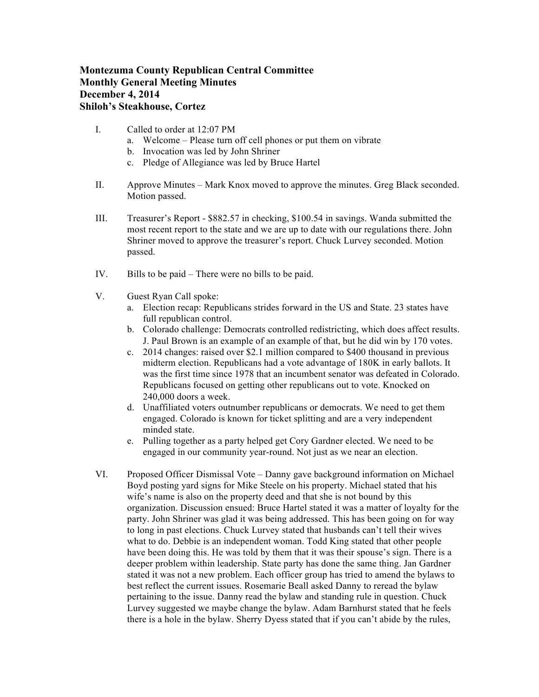## **Montezuma County Republican Central Committee Monthly General Meeting Minutes December 4, 2014 Shiloh's Steakhouse, Cortez**

- I. Called to order at 12:07 PM
	- a. Welcome Please turn off cell phones or put them on vibrate
	- b. Invocation was led by John Shriner
	- c. Pledge of Allegiance was led by Bruce Hartel
- II. Approve Minutes Mark Knox moved to approve the minutes. Greg Black seconded. Motion passed.
- III. Treasurer's Report \$882.57 in checking, \$100.54 in savings. Wanda submitted the most recent report to the state and we are up to date with our regulations there. John Shriner moved to approve the treasurer's report. Chuck Lurvey seconded. Motion passed.
- IV. Bills to be paid There were no bills to be paid.
- V. Guest Ryan Call spoke:
	- a. Election recap: Republicans strides forward in the US and State. 23 states have full republican control.
	- b. Colorado challenge: Democrats controlled redistricting, which does affect results. J. Paul Brown is an example of an example of that, but he did win by 170 votes.
	- c. 2014 changes: raised over \$2.1 million compared to \$400 thousand in previous midterm election. Republicans had a vote advantage of 180K in early ballots. It was the first time since 1978 that an incumbent senator was defeated in Colorado. Republicans focused on getting other republicans out to vote. Knocked on 240,000 doors a week.
	- d. Unaffiliated voters outnumber republicans or democrats. We need to get them engaged. Colorado is known for ticket splitting and are a very independent minded state.
	- e. Pulling together as a party helped get Cory Gardner elected. We need to be engaged in our community year-round. Not just as we near an election.
- VI. Proposed Officer Dismissal Vote Danny gave background information on Michael Boyd posting yard signs for Mike Steele on his property. Michael stated that his wife's name is also on the property deed and that she is not bound by this organization. Discussion ensued: Bruce Hartel stated it was a matter of loyalty for the party. John Shriner was glad it was being addressed. This has been going on for way to long in past elections. Chuck Lurvey stated that husbands can't tell their wives what to do. Debbie is an independent woman. Todd King stated that other people have been doing this. He was told by them that it was their spouse's sign. There is a deeper problem within leadership. State party has done the same thing. Jan Gardner stated it was not a new problem. Each officer group has tried to amend the bylaws to best reflect the current issues. Rosemarie Beall asked Danny to reread the bylaw pertaining to the issue. Danny read the bylaw and standing rule in question. Chuck Lurvey suggested we maybe change the bylaw. Adam Barnhurst stated that he feels there is a hole in the bylaw. Sherry Dyess stated that if you can't abide by the rules,